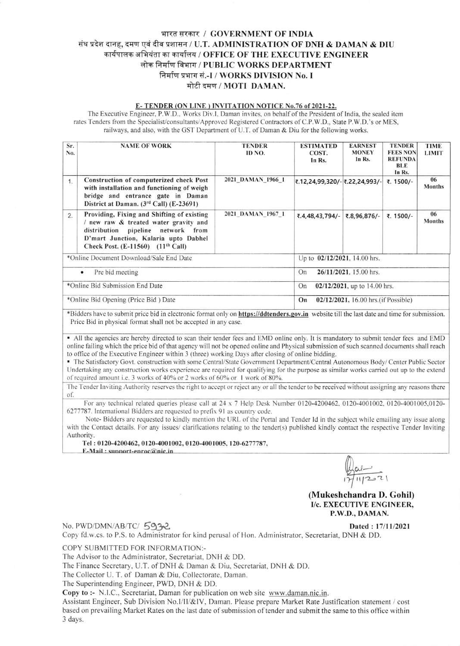## भारत सरकार / GOVERNMENT OF INDIA संघ प्रदेश दानह, दमण एवं दीव प्रशासन / U.T. ADMINISTRATION OF DNH & DAMAN & DIU कार्यपालक अभियंता का कार्यालय / OFFICE OF THE EXECUTIVE ENGINEER लोक निर्माण विभाग / PUBLIC WORKS DEPARTMENT निर्माण प्रभाग सं.-I / WORKS DIVISION No. I मोटी दमण / MOTI DAMAN.

## E-TENDER (ON LINE) INVITATION NOTICE No.76 of 2021-22.

The Executive Engineer, P.W.D., Works Div.I, Daman invites, on behalf of the President of India, the sealed item rates Tenders from the Specialist/consultants/Approved Registered Contractors of C.P.W.D., State P.W.D.'s or MES, railways, and also, with the GST Department of U.T. of Daman & Diu for the following works.

| Sr.<br>No.                           | <b>NAME OF WORK</b>                                                                                                                                                                                        | <b>TENDER</b><br>ID NO.      | <b>ESTIMATED</b><br>COST.<br>In Rs.        | <b>EARNEST</b><br><b>MONEY</b><br>In Rs. | <b>TENDER</b><br><b>FEES NON</b><br><b>REFUNDA</b><br><b>BLE</b><br>In Rs. | <b>TIME</b><br><b>LIMIT</b> |  |
|--------------------------------------|------------------------------------------------------------------------------------------------------------------------------------------------------------------------------------------------------------|------------------------------|--------------------------------------------|------------------------------------------|----------------------------------------------------------------------------|-----------------------------|--|
| 1.                                   | Construction of computerized check Post<br>with installation and functioning of weigh<br>bridge and entrance gate in Daman<br>District at Daman. (3rd Call) (E-23691)                                      | 2021 DAMAN 1966 1            | ₹.12,24,99,320/- ₹.22,24,993/-             |                                          | ₹. 1500/-                                                                  | 06<br><b>Months</b>         |  |
| $\overline{2}$ .                     | Providing, Fixing and Shifting of existing<br>/ new raw & treated water gravity and<br>distribution pipeline network from<br>D'mart Junction, Kalaria upto Dabhel<br>Check Post. $(E-11560)$ $(11th Call)$ | 2021 DAMAN 1967 1            | ₹.4,48,43,794/-                            | ₹.8,96,876/-                             | ₹. 1500/-                                                                  | 06<br><b>Months</b>         |  |
|                                      | *Online Document Download/Sale End Date                                                                                                                                                                    | Up to 02/12/2021, 14.00 hrs. |                                            |                                          |                                                                            |                             |  |
| Pre bid meeting<br>$\bullet$         |                                                                                                                                                                                                            |                              | 26/11/2021, 15.00 hrs.<br>On               |                                          |                                                                            |                             |  |
| *Online Bid Submission End Date      |                                                                                                                                                                                                            |                              | $02/12/2021$ , up to 14.00 hrs.<br>On      |                                          |                                                                            |                             |  |
| *Online Bid Opening (Price Bid) Date |                                                                                                                                                                                                            |                              | On<br>02/12/2021, 16.00 hrs. (if Possible) |                                          |                                                                            |                             |  |

\*Bidders have to submit price bid in electronic format only on **https://ddtenders.gov.in** website till the last date and time for submission. Price Bid in physical format shall not be accepted in any case.

• All the agencies are hereby directed to scan their tender fees and EMD online only. It is mandatory to submit tender fees and EMD online failing which the price bid of that agency will not be opened online and Physical submission of such scanned documents shall reach to office of the Executive Engineer within 3 (three) working Days after closing of online bidding.

The Satisfactory Govt. construction with some Central/State Government Department/Central Autonomous Body/Center Public Sector Undertaking any construction works experience are required for qualifying for the purpose as similar works carried out up to the extend of required amount i.e. 3 works of 40% or 2 works of 60% or 1 work of 80%.

The Tender Inviting Authority reserves the right to accept or reject any or all the tender to be received without assigning any reasons there of.

For any technical related queries please call at 24 x 7 Help Desk Number 0120-4200462, 0120-4001002, 0120-4001005,0120-6277787. International Bidders are requested to prefix 91 as country code.

Note-Bidders are requested to kindly mention the URL of the Portal and Tender Id in the subject while emailing any issue along with the Contact details. For any issues/ clarifications relating to the tender(s) published kindly contact the respective Tender Inviting Authority.

Tel: 0120-4200462, 0120-4001002, 0120-4001005, 120-6277787, E-Mail: support-eproc@nic.in

(Mukeshchandra D. Gohil) I/c. EXECUTIVE ENGINEER. P.W.D., DAMAN.

## No. PWD/DMN/AB/TC/5932

Dated: 17/11/2021

Copy fd.w.cs. to P.S. to Administrator for kind perusal of Hon. Administrator, Secretariat, DNH & DD.

COPY SUBMITTED FOR INFORMATION:-

The Advisor to the Administrator, Secretariat, DNH & DD.

The Finance Secretary, U.T. of DNH & Daman & Diu, Secretariat, DNH & DD.

The Collector U. T. of Daman & Diu, Collectorate, Daman.

The Superintending Engineer, PWD, DNH & DD.

Copy to :- N.I.C., Secretariat, Daman for publication on web site www.daman.nic.in.

Assistant Engineer, Sub Division No.I/II/&IV, Daman. Please prepare Market Rate Justification statement / cost based on prevailing Market Rates on the last date of submission of tender and submit the same to this office within 3 days.